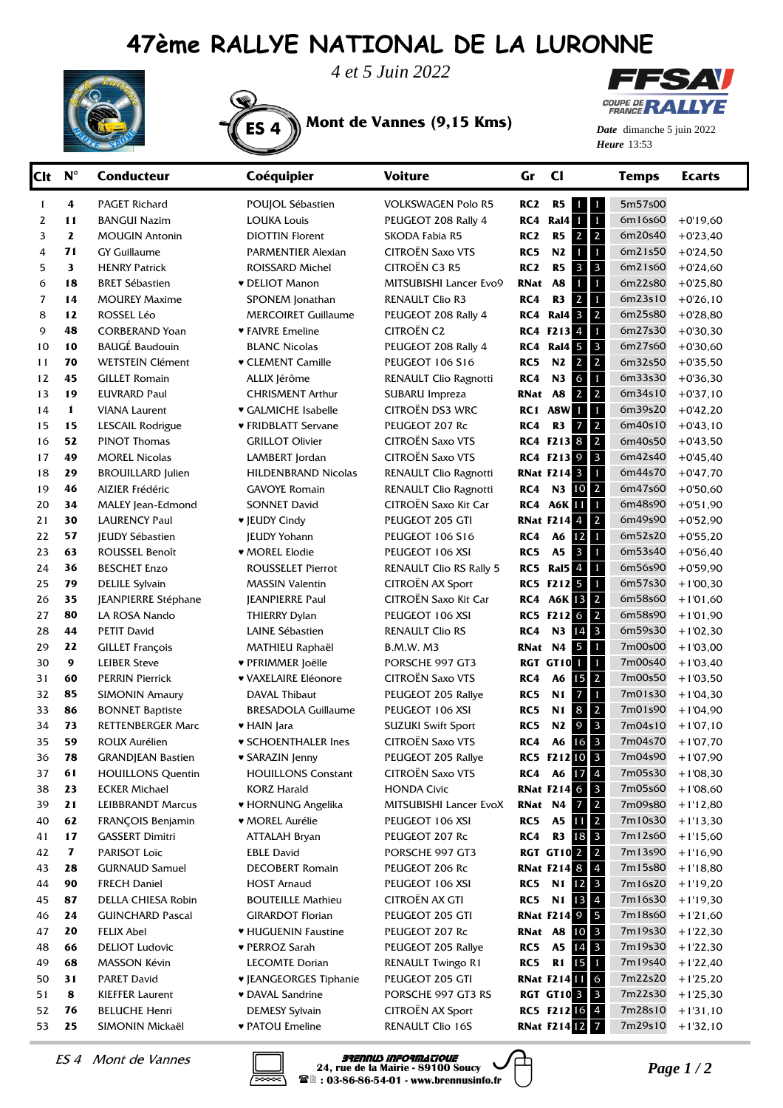## **47ème RALLYE NATIONAL DE LA LURONNE**





ES 4 **Mont de Vannes (9,15 Kms)**



**Heure** 13:53 *Date* dimanche 5 juin 2022

| Clt | $N^{\circ}$  | <b>Conducteur</b>          | Coéquipier                    | <b>Voiture</b>                 | Gr              | $CI$                                                | <b>Temps</b> | <b>Ecarts</b> |
|-----|--------------|----------------------------|-------------------------------|--------------------------------|-----------------|-----------------------------------------------------|--------------|---------------|
| 1   | 4            | <b>PAGET Richard</b>       | POUJOL Sébastien              | <b>VOLKSWAGEN Polo R5</b>      | RC2             | R <sub>5</sub><br>$\mathbf{1}$<br>1                 | 5m57s00      |               |
| 2   | 11           | <b>BANGUI Nazim</b>        | <b>LOUKA Louis</b>            | PEUGEOT 208 Rally 4            | RC4             | $\blacksquare$<br>Ral4<br>1                         | 6m16s60      | $+0'19,60$    |
| 3   | $\mathbf{z}$ | <b>MOUGIN Antonin</b>      | <b>DIOTTIN Florent</b>        | SKODA Fabia R5                 | RC2             | $\overline{2}$<br>$\overline{2}$<br>R <sub>5</sub>  | 6m20s40      | $+0'23,40$    |
| 4   | 71           | <b>GY Guillaume</b>        | PARMENTIER Alexian            | CITROËN Saxo VTS               | RC5             | N2<br>$\mathbf{1}$<br>1                             | 6m21s50      | $+0'24,50$    |
| 5   | 3            | <b>HENRY Patrick</b>       | ROISSARD Michel               | CITROËN C3 R5                  | RC <sub>2</sub> | 3<br>$\overline{\mathbf{3}}$<br><b>R5</b>           | 6m21s60      | $+0'24,60$    |
| 6   | 18           | <b>BRET Sébastien</b>      | <b>v</b> DELIOT Manon         | MITSUBISHI Lancer Evo9         | RNat            | A <sub>8</sub><br>$\mathbf{1}$<br>1                 | 6m22s80      | $+0'25,80$    |
| 7   | 14           | <b>MOUREY Maxime</b>       | SPONEM Jonathan               | <b>RENAULT Clio R3</b>         | RC4             | $\overline{2}$<br>R <sub>3</sub><br>$\mathbf{1}$    | 6m23s10      | $+0'26,10$    |
| 8   | 12           | ROSSEL Léo                 | <b>MERCOIRET Guillaume</b>    | PEUGEOT 208 Rally 4            | RC4             | <b>Ral4 3</b><br>$\overline{2}$                     | 6m25s80      | $+0'28,80$    |
| 9   | 48           | <b>CORBERAND Yoan</b>      | <b>* FAIVRE Emeline</b>       | CITROËN C <sub>2</sub>         |                 | $\boldsymbol{4}$<br>$\mathbf{1}$<br><b>RC4 F213</b> | 6m27s30      | $+0'30,30$    |
| 10  | 10           | <b>BAUGÉ Baudouin</b>      | <b>BLANC Nicolas</b>          | PEUGEOT 208 Rally 4            | RC4             | $\overline{\mathbf{3}}$<br>Ral4 <sub>5</sub>        | 6m27s60      | $+0'30,60$    |
| 11  | 70           | <b>WETSTEIN Clément</b>    | <b>v</b> CLEMENT Camille      | PEUGEOT 106 S16                | RC5             | $\overline{2}$<br>$\overline{2}$<br>N2              | 6m32s50      | $+0'35,50$    |
| 12  | 45           | <b>GILLET Romain</b>       | ALLIX Jérôme                  | RENAULT Clio Ragnotti          | RC4             | 6<br>N3<br>$\mathbf{1}$                             | 6m33s30      | $+0'36,30$    |
| 13  | 19           | <b>EUVRARD Paul</b>        | <b>CHRISMENT Arthur</b>       | SUBARU Impreza                 | RNat            | $\overline{2}$<br>$\overline{2}$<br><b>A8</b>       | 6m34s10      | $+0'37,10$    |
| 14  | 1            | <b>VIANA Laurent</b>       | ♥ GALMICHE Isabelle           | CITROËN DS3 WRC                | RC 1            | A8W<br>1<br>$\blacksquare$                          | 6m39s20      | $+0'42,20$    |
| 15  | 15           | LESCAIL Rodrigue           | ♥ FRIDBLATT Servane           | PEUGEOT 207 Rc                 | RC4             | $\overline{2}$<br>R3<br>7                           | 6m40s10      | $+0'43,10$    |
| 16  | 52           | <b>PINOT Thomas</b>        | <b>GRILLOT Olivier</b>        | CITROËN Saxo VTS               |                 | <b>RC4 F213 8</b><br>$\sqrt{2}$                     | 6m40s50      | $+0'43,50$    |
| 17  | 49           | <b>MOREL Nicolas</b>       | LAMBERT Jordan                | CITROËN Saxo VTS               |                 | RC4 F213 9<br>$\vert$ 3                             | 6m42s40      | $+0'45,40$    |
| 18  | 29           | <b>BROUILLARD</b> Julien   | <b>HILDENBRAND Nicolas</b>    | RENAULT Clio Ragnotti          |                 | <b>RNat F214 3</b><br>$\blacksquare$                | 6m44s70      | $+0'47,70$    |
| 19  | 46           | AIZIER Frédéric            | <b>GAVOYE Romain</b>          | RENAULT Clio Ragnotti          | RC4             | $\vert$ 2<br><b>N3 10</b>                           | 6m47s60      | $+0'50,60$    |
| 20  | 34           | MALEY Jean-Edmond          | <b>SONNET David</b>           | CITROËN Saxo Kit Car           | RC4             | <b>A6K III</b><br>$\vert$ 1                         | 6m48s90      | $+0'51,90$    |
| 21  | 30           | <b>LAURENCY Paul</b>       | ♥ JEUDY Cindy                 | PEUGEOT 205 GTI                |                 | <b>RNat F214 4</b><br>$\vert 2 \vert$               | 6m49s90      | $+0'52,90$    |
| 22  | 57           | <b>JEUDY Sébastien</b>     | <b>JEUDY Yohann</b>           | <b>PEUGEOT 106 S16</b>         | RC4             | A6<br>12<br>$\blacksquare$                          | 6m52s20      | $+0'55,20$    |
| 23  | 63           | ROUSSEL Benoît             | ♥ MOREL Elodie                | PEUGEOT 106 XSI                | RC5             | $\mathbf{3}$<br>A5<br>$\blacksquare$                | 6m53s40      | $+0'56,40$    |
| 24  | 36           | <b>BESCHET Enzo</b>        | <b>ROUSSELET Pierrot</b>      | <b>RENAULT Clio RS Rally 5</b> | RC5             | <b>Ral5</b> 4<br>$\blacksquare$                     | 6m56s90      | $+0'59,90$    |
| 25  | 79           | <b>DELILE Sylvain</b>      | <b>MASSIN Valentin</b>        | <b>CITROËN AX Sport</b>        |                 | RC5 F212 5<br>$\blacksquare$                        | 6m57s30      | $+1'00,30$    |
| 26  | 35           | <b>JEANPIERRE Stéphane</b> | <b>JEANPIERRE Paul</b>        | CITROËN Saxo Kit Car           | RC4             | $\vert$ 2<br><b>A6K 13</b>                          | 6m58s60      | $+1'01,60$    |
| 27  | 80           | LA ROSA Nando              | THIERRY Dylan                 | PEUGEOT 106 XSI                |                 | <b>RC5 F212 6</b><br>$\vert$ 2                      | 6m58s90      | $+1'01,90$    |
| 28  | 44           | <b>PETIT David</b>         | LAINE Sébastien               | <b>RENAULT Clio RS</b>         | RC4             | N3<br>$\overline{\mathbf{3}}$<br>14                 | 6m59s30      | $+1'02,30$    |
| 29  | 22           | <b>GILLET</b> François     | MATHIEU Raphaël               | <b>B.M.W. M3</b>               | RNat N4         | 5<br>$\blacksquare$                                 | 7m00s00      | $+1'03,00$    |
| 30  | 9            | <b>LEIBER Steve</b>        | ♥ PFRIMMER Joëlle             | PORSCHE 997 GT3                |                 | RGT GT10<br>$\blacksquare$                          | 7m00s40      | $+1'03,40$    |
| 31  | 60           | <b>PERRIN Pierrick</b>     | ♥ VAXELAIRE Eléonore          | <b>CITROËN Saxo VTS</b>        | RC4             | $\overline{2}$<br>A6<br>15                          | 7m00s50      | $+1'03,50$    |
| 32  | 85           | <b>SIMONIN Amaury</b>      | DAVAL Thibaut                 | PEUGEOT 205 Rallye             | RC5             | N1<br>7<br>$\vert$ 1                                | 7m01s30      | $+1'04,30$    |
| 33  | 86           | <b>BONNET Baptiste</b>     | <b>BRESADOLA Guillaume</b>    | PEUGEOT 106 XSI                | RC5             | $\bf8$<br>$\vert$ 2<br>N <sub>1</sub>               | 7m01s90      | $+1'04,90$    |
| 34  | 73           | <b>RETTENBERGER Marc</b>   | • HAIN Jara                   | <b>SUZUKI Swift Sport</b>      | RC5             | N2<br>$\overline{Q}$<br>$\overline{\mathbf{3}}$     | 7m04s10      | $+1'07,10$    |
| 35  | 59           | ROUX Aurélien              | • SCHOENTHALER Ines           | <b>CITROËN Saxo VTS</b>        | RC4             | $16 \overline{\smash{\big)}\ 3}$<br>A6              | 7m04s70      | $+1'07,70$    |
| 36  | 78           | GRANDJEAN Bastien          | ♥ SARAZIN Jenny               | PEUGEOT 205 Rallye             |                 | RC5 F21210 3                                        | 7m04s90      | $+1'07,90$    |
| 37  | 61           | <b>HOUILLONS Quentin</b>   | <b>HOUILLONS Constant</b>     | CITROËN Saxo VTS               | RC4             | A6 17 4                                             | 7m05s30      | $+1'08,30$    |
| 38  | 23           | <b>ECKER Michael</b>       | <b>KORZ Harald</b>            | <b>HONDA Civic</b>             |                 | <b>RNat F214 6 3</b>                                | 7m05s60      | $+1'08,60$    |
| 39  | 21           | <b>LEIBBRANDT Marcus</b>   | • HORNUNG Angelika            | MITSUBISHI Lancer EvoX         | RNat N4         | $\overline{2}$<br>7                                 | 7m09s80      | $+1'12,80$    |
| 40  | 62           | FRANÇOIS Benjamin          | ♥ MOREL Aurélie               | PEUGEOT 106 XSI                | RC5             | <b>A5</b><br>$11$ 2                                 | 7m10s30      | $+1'13,30$    |
| 41  | 17           | <b>GASSERT Dimitri</b>     | ATTALAH Bryan                 | PEUGEOT 207 Rc                 | RC4             | R3<br>$18 \mid 3$                                   | 7m12s60      | $+1'15,60$    |
| 42  | 7            | PARISOT Loïc               | <b>EBLE David</b>             | PORSCHE 997 GT3                |                 | <b>RGT GT10 2 2</b>                                 | 7m13s90      | $+1'16,90$    |
| 43  | 28           | <b>GURNAUD Samuel</b>      | <b>DECOBERT Romain</b>        | PEUGEOT 206 Rc                 |                 | <b>RNat F214 8 4</b>                                | 7m15s80      | $+1'18,80$    |
| 44  | 90           | <b>FRECH Daniel</b>        | <b>HOST Arnaud</b>            | PEUGEOT 106 XSI                |                 | RC5 N1 12 3                                         | 7m16s20      | $+1'19,20$    |
| 45  | 87           | DELLA CHIESA Robin         | <b>BOUTEILLE Mathieu</b>      | CITROËN AX GTI                 |                 | RC5 N1 13 4                                         | 7m16s30      | $+1'19,30$    |
| 46  | 24           | <b>GUINCHARD Pascal</b>    | <b>GIRARDOT Florian</b>       | PEUGEOT 205 GTI                |                 | <b>RNat F214 9</b><br>5                             | 7m18s60      | $+1'21,60$    |
| 47  | 20           | <b>FELIX Abel</b>          | ♥ HUGUENIN Faustine           | PEUGEOT 207 Rc                 | RNat A8         | $10 \vert 3$                                        | 7m19s30      | $+1'22,30$    |
| 48  | 66           | <b>DELIOT Ludovic</b>      | ♥ PERROZ Sarah                | PEUGEOT 205 Rallye             | RC5             | <b>A5</b><br>$14 \overline{\phantom{0}}3$           | 7m19s30      | $+1'22,30$    |
| 49  | 68           | MASSON Kévin               | <b>LECOMTE Dorian</b>         | RENAULT Twingo R1              | RC5             | R <sub>1</sub><br>$15-1$                            | 7m19s40      | $+1'22,40$    |
| 50  | 31           | <b>PARET David</b>         | <b>v</b> JEANGEORGES Tiphanie | PEUGEOT 205 GTI                |                 | <b>RNat F21411 6</b>                                | 7m22s20      | $+1'25,20$    |
| 51  | 8            | <b>KIEFFER Laurent</b>     | • DAVAL Sandrine              | PORSCHE 997 GT3 RS             |                 | <b>RGT GT10 3 3</b>                                 | 7m22s30      | $+1'25,30$    |
| 52  | 76           | <b>BELUCHE Henri</b>       | <b>DEMESY Sylvain</b>         | CITROËN AX Sport               |                 | RC5 F212 16 4                                       | 7m28s10      | $+1'31,10$    |
| 53  | 25           | SIMONIN Mickaël            | ♥ PATOU Emeline               | RENAULT Clio 16S               |                 | <b>RNat F214127</b>                                 | 7m29s10      | $+1'32,10$    |
|     |              |                            |                               |                                |                 |                                                     |              |               |